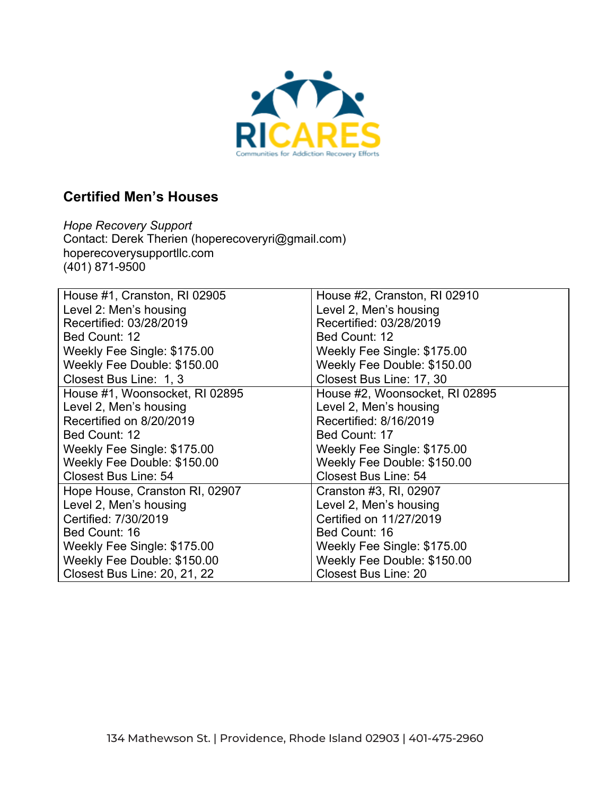

## **Certified Men's Houses**

*Hope Recovery Support* Contact: Derek Therien (hoperecoveryri@gmail.com) hoperecoverysupportllc.com (401) 871-9500

| House #1, Cranston, RI 02905   | House #2, Cranston, RI 02910   |
|--------------------------------|--------------------------------|
| Level 2: Men's housing         | Level 2, Men's housing         |
| Recertified: 03/28/2019        | Recertified: 03/28/2019        |
| Bed Count: 12                  | Bed Count: 12                  |
| Weekly Fee Single: \$175.00    | Weekly Fee Single: \$175.00    |
| Weekly Fee Double: \$150.00    | Weekly Fee Double: \$150.00    |
| Closest Bus Line: 1, 3         | Closest Bus Line: 17, 30       |
| House #1, Woonsocket, RI 02895 | House #2, Woonsocket, RI 02895 |
| Level 2, Men's housing         | Level 2, Men's housing         |
| Recertified on 8/20/2019       | Recertified: 8/16/2019         |
| Bed Count: 12                  | Bed Count: 17                  |
| Weekly Fee Single: \$175.00    | Weekly Fee Single: \$175.00    |
| Weekly Fee Double: \$150.00    | Weekly Fee Double: \$150.00    |
| <b>Closest Bus Line: 54</b>    | <b>Closest Bus Line: 54</b>    |
| Hope House, Cranston RI, 02907 | Cranston #3, RI, 02907         |
| Level 2, Men's housing         | Level 2, Men's housing         |
| Certified: 7/30/2019           | Certified on 11/27/2019        |
| Bed Count: 16                  | Bed Count: 16                  |
| Weekly Fee Single: \$175.00    | Weekly Fee Single: \$175.00    |
| Weekly Fee Double: \$150.00    | Weekly Fee Double: \$150.00    |
| Closest Bus Line: 20, 21, 22   | <b>Closest Bus Line: 20</b>    |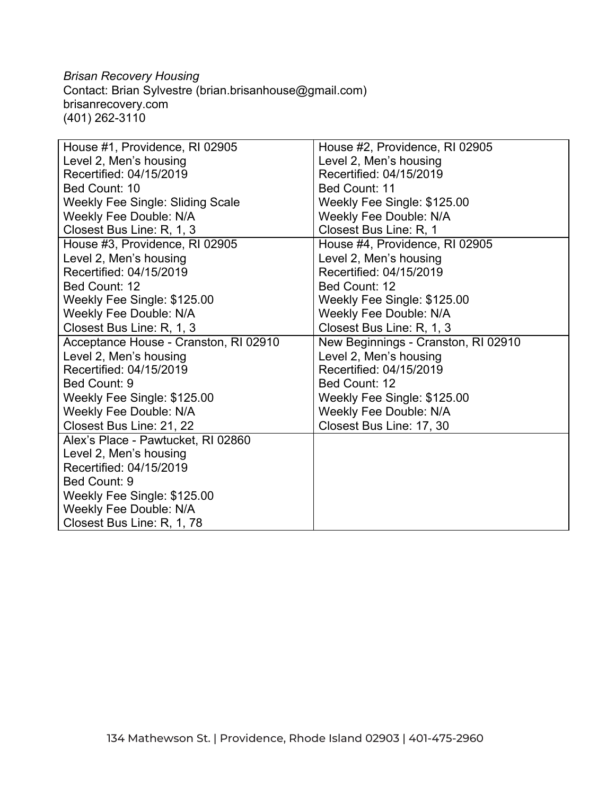*Brisan Recovery Housing* Contact: Brian Sylvestre (brian.brisanhouse@gmail.com) brisanrecovery.com (401) 262-3110

| House #1, Providence, RI 02905          | House #2, Providence, RI 02905      |
|-----------------------------------------|-------------------------------------|
| Level 2, Men's housing                  | Level 2, Men's housing              |
| Recertified: 04/15/2019                 | Recertified: 04/15/2019             |
| Bed Count: 10                           | Bed Count: 11                       |
| <b>Weekly Fee Single: Sliding Scale</b> | Weekly Fee Single: \$125.00         |
| <b>Weekly Fee Double: N/A</b>           | <b>Weekly Fee Double: N/A</b>       |
| Closest Bus Line: R, 1, 3               | Closest Bus Line: R, 1              |
| House #3, Providence, RI 02905          | House #4, Providence, RI 02905      |
| Level 2, Men's housing                  | Level 2, Men's housing              |
| Recertified: 04/15/2019                 | Recertified: 04/15/2019             |
| Bed Count: 12                           | Bed Count: 12                       |
| Weekly Fee Single: \$125.00             | Weekly Fee Single: \$125.00         |
| <b>Weekly Fee Double: N/A</b>           | <b>Weekly Fee Double: N/A</b>       |
| Closest Bus Line: R, 1, 3               | Closest Bus Line: R, 1, 3           |
| Acceptance House - Cranston, RI 02910   | New Beginnings - Cranston, RI 02910 |
| Level 2, Men's housing                  | Level 2, Men's housing              |
| Recertified: 04/15/2019                 | Recertified: 04/15/2019             |
| Bed Count: 9                            | Bed Count: 12                       |
| Weekly Fee Single: \$125.00             | Weekly Fee Single: \$125.00         |
| <b>Weekly Fee Double: N/A</b>           | <b>Weekly Fee Double: N/A</b>       |
| Closest Bus Line: 21, 22                | Closest Bus Line: 17, 30            |
| Alex's Place - Pawtucket, RI 02860      |                                     |
| Level 2, Men's housing                  |                                     |
| Recertified: 04/15/2019                 |                                     |
| Bed Count: 9                            |                                     |
| Weekly Fee Single: \$125.00             |                                     |
| Weekly Fee Double: N/A                  |                                     |
| Closest Bus Line: R, 1, 78              |                                     |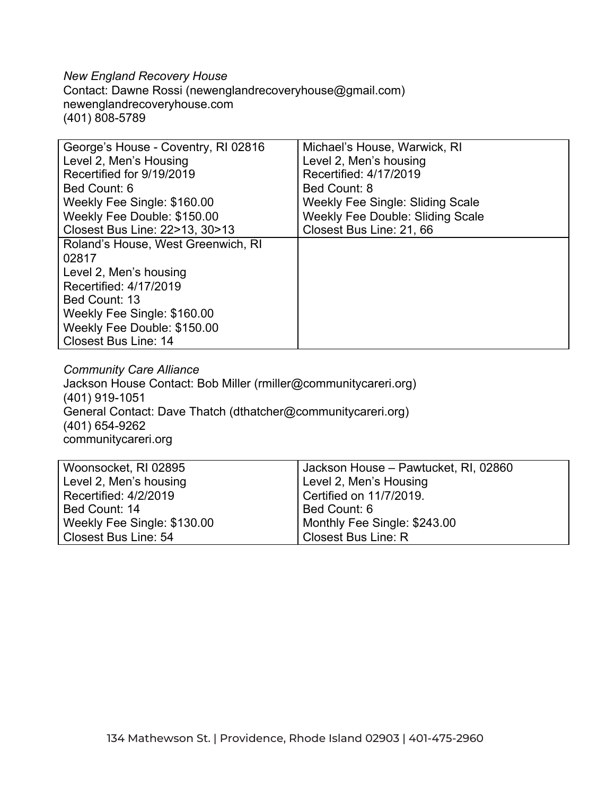*New England Recovery House* Contact: Dawne Rossi (newenglandrecoveryhouse@gmail.com) newenglandrecoveryhouse.com (401) 808-5789

| George's House - Coventry, RI 02816 | Michael's House, Warwick, RI            |
|-------------------------------------|-----------------------------------------|
| Level 2, Men's Housing              | Level 2, Men's housing                  |
| Recertified for 9/19/2019           | Recertified: 4/17/2019                  |
| Bed Count: 6                        | Bed Count: 8                            |
| Weekly Fee Single: \$160.00         | <b>Weekly Fee Single: Sliding Scale</b> |
| Weekly Fee Double: \$150.00         | <b>Weekly Fee Double: Sliding Scale</b> |
| Closest Bus Line: 22>13, 30>13      | Closest Bus Line: 21, 66                |
| Roland's House, West Greenwich, RI  |                                         |
| 02817                               |                                         |
| Level 2, Men's housing              |                                         |
| Recertified: 4/17/2019              |                                         |
| Bed Count: 13                       |                                         |
| Weekly Fee Single: \$160.00         |                                         |
| Weekly Fee Double: \$150.00         |                                         |
| <b>Closest Bus Line: 14</b>         |                                         |

*Community Care Alliance* Jackson House Contact: Bob Miller (rmiller@communitycareri.org) (401) 919-1051 General Contact: Dave Thatch (dthatcher@communitycareri.org) (401) 654-9262 communitycareri.org

| Woonsocket, RI 02895        | Jackson House - Pawtucket, RI, 02860 |
|-----------------------------|--------------------------------------|
| Level 2, Men's housing      | Level 2, Men's Housing               |
| Recertified: 4/2/2019       | Certified on 11/7/2019.              |
| Bed Count: 14               | Bed Count: 6                         |
| Weekly Fee Single: \$130.00 | Monthly Fee Single: \$243.00         |
| Closest Bus Line: 54        | Closest Bus Line: R                  |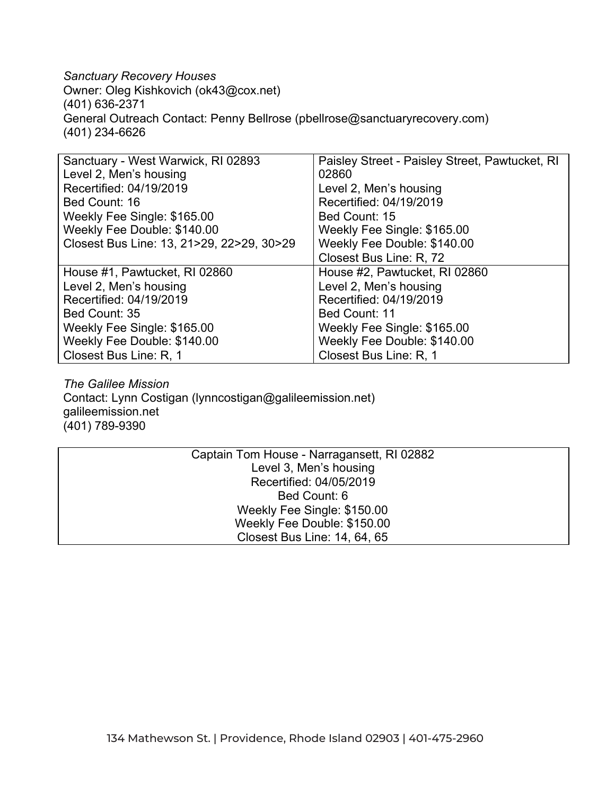*Sanctuary Recovery Houses* Owner: Oleg Kishkovich (ok43@cox.net) (401) 636-2371 General Outreach Contact: Penny Bellrose (pbellrose@sanctuaryrecovery.com) (401) 234-6626

| Sanctuary - West Warwick, RI 02893        | Paisley Street - Paisley Street, Pawtucket, RI |
|-------------------------------------------|------------------------------------------------|
| Level 2, Men's housing                    | 02860                                          |
| Recertified: 04/19/2019                   | Level 2, Men's housing                         |
| Bed Count: 16                             | Recertified: 04/19/2019                        |
| Weekly Fee Single: \$165.00               | Bed Count: 15                                  |
| Weekly Fee Double: \$140.00               | Weekly Fee Single: \$165.00                    |
| Closest Bus Line: 13, 21>29, 22>29, 30>29 | Weekly Fee Double: \$140.00                    |
|                                           | Closest Bus Line: R, 72                        |
| House #1, Pawtucket, RI 02860             | House #2, Pawtucket, RI 02860                  |
| Level 2, Men's housing                    | Level 2, Men's housing                         |
| Recertified: 04/19/2019                   | Recertified: 04/19/2019                        |
| Bed Count: 35                             | Bed Count: 11                                  |
| Weekly Fee Single: \$165.00               | Weekly Fee Single: \$165.00                    |
| Weekly Fee Double: \$140.00               | Weekly Fee Double: \$140.00                    |
| Closest Bus Line: R, 1                    | Closest Bus Line: R, 1                         |

*The Galilee Mission* Contact: Lynn Costigan (lynncostigan@galileemission.net) galileemission.net (401) 789-9390

| Captain Tom House - Narragansett, RI 02882 |                              |  |
|--------------------------------------------|------------------------------|--|
|                                            | Level 3, Men's housing       |  |
|                                            | Recertified: 04/05/2019      |  |
|                                            | Bed Count: 6                 |  |
|                                            | Weekly Fee Single: \$150.00  |  |
|                                            | Weekly Fee Double: \$150.00  |  |
|                                            | Closest Bus Line: 14, 64, 65 |  |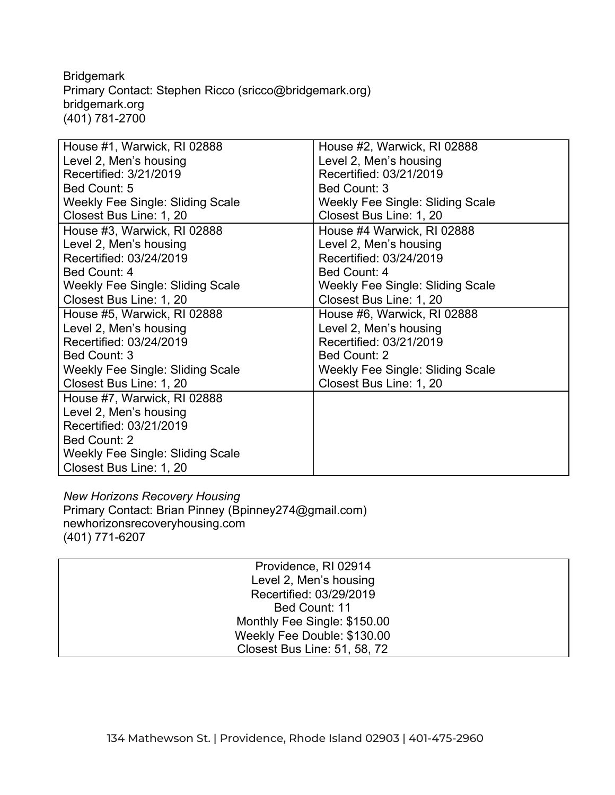**Bridgemark** Primary Contact: Stephen Ricco (sricco@bridgemark.org) bridgemark.org (401) 781-2700

| House #1, Warwick, RI 02888             | House #2, Warwick, RI 02888             |
|-----------------------------------------|-----------------------------------------|
| Level 2, Men's housing                  | Level 2, Men's housing                  |
| Recertified: 3/21/2019                  | Recertified: 03/21/2019                 |
| Bed Count: 5                            | Bed Count: 3                            |
| Weekly Fee Single: Sliding Scale        | <b>Weekly Fee Single: Sliding Scale</b> |
| Closest Bus Line: 1, 20                 | Closest Bus Line: 1, 20                 |
| House #3, Warwick, RI 02888             | House #4 Warwick, RI 02888              |
| Level 2, Men's housing                  | Level 2, Men's housing                  |
| Recertified: 03/24/2019                 | Recertified: 03/24/2019                 |
| Bed Count: 4                            | Bed Count: 4                            |
| Weekly Fee Single: Sliding Scale        | Weekly Fee Single: Sliding Scale        |
| Closest Bus Line: 1, 20                 | Closest Bus Line: 1, 20                 |
| House #5, Warwick, RI 02888             | House #6, Warwick, RI 02888             |
| Level 2, Men's housing                  | Level 2, Men's housing                  |
| Recertified: 03/24/2019                 | Recertified: 03/21/2019                 |
| Bed Count: 3                            | Bed Count: 2                            |
| <b>Weekly Fee Single: Sliding Scale</b> | <b>Weekly Fee Single: Sliding Scale</b> |
| Closest Bus Line: 1, 20                 | Closest Bus Line: 1, 20                 |
| House #7, Warwick, RI 02888             |                                         |
| Level 2, Men's housing                  |                                         |
| Recertified: 03/21/2019                 |                                         |
| Bed Count: 2                            |                                         |
| <b>Weekly Fee Single: Sliding Scale</b> |                                         |
| Closest Bus Line: 1, 20                 |                                         |

*New Horizons Recovery Housing* Primary Contact: Brian Pinney (Bpinney274@gmail.com) newhorizonsrecoveryhousing.com (401) 771-6207

| Providence, RI 02914         |
|------------------------------|
| Level 2, Men's housing       |
| Recertified: 03/29/2019      |
| Bed Count: 11                |
| Monthly Fee Single: \$150.00 |
| Weekly Fee Double: \$130.00  |
| Closest Bus Line: 51, 58, 72 |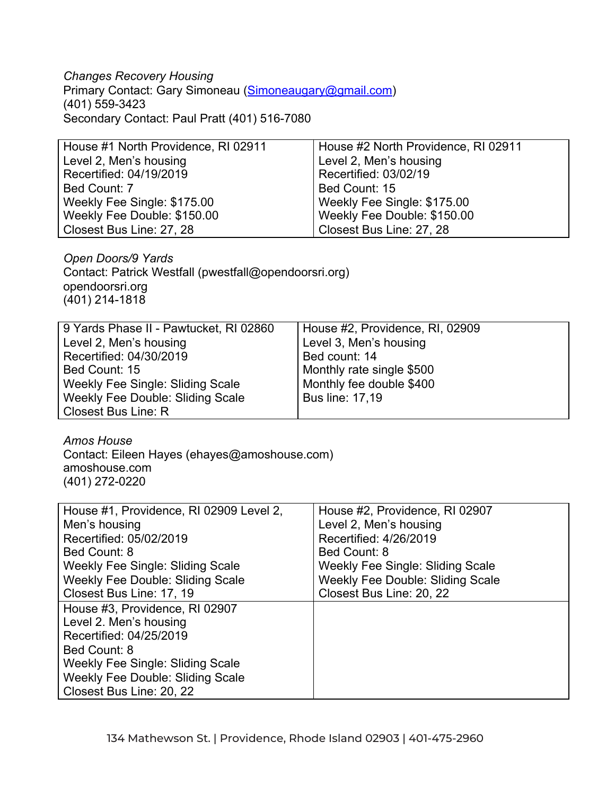## *Changes Recovery Housing*

Primary Contact: Gary Simoneau ([Simoneaugary@gmail.com\)](mailto:Simoneaugary@gmail.com) (401) 559-3423 Secondary Contact: Paul Pratt (401) 516-7080

| House #1 North Providence, RI 02911 | House #2 North Providence, RI 02911 |
|-------------------------------------|-------------------------------------|
| Level 2, Men's housing              | Level 2, Men's housing              |
| Recertified: 04/19/2019             | Recertified: 03/02/19               |
| Bed Count: 7                        | Bed Count: 15                       |
| Weekly Fee Single: \$175.00         | Weekly Fee Single: \$175.00         |
| Weekly Fee Double: \$150.00         | Weekly Fee Double: \$150.00         |
| Closest Bus Line: 27, 28            | Closest Bus Line: 27, 28            |

*Open Doors/9 Yards* Contact: Patrick Westfall (pwestfall@opendoorsri.org) opendoorsri.org (401) 214-1818

| 9 Yards Phase II - Pawtucket, RI 02860 | House #2, Providence, RI, 02909 |
|----------------------------------------|---------------------------------|
| Level 2, Men's housing                 | Level 3, Men's housing          |
| Recertified: 04/30/2019                | Bed count: 14                   |
| Bed Count: 15                          | Monthly rate single \$500       |
| Weekly Fee Single: Sliding Scale       | Monthly fee double \$400        |
| Weekly Fee Double: Sliding Scale       | <b>Bus line: 17,19</b>          |
| Closest Bus Line: R                    |                                 |

*Amos House*

Contact: Eileen Hayes (ehayes@amoshouse.com) amoshouse.com (401) 272-0220

| House #1, Providence, RI 02909 Level 2, | House #2, Providence, RI 02907          |
|-----------------------------------------|-----------------------------------------|
| Men's housing                           | Level 2, Men's housing                  |
| Recertified: 05/02/2019                 | Recertified: 4/26/2019                  |
| Bed Count: 8                            | Bed Count: 8                            |
| Weekly Fee Single: Sliding Scale        | Weekly Fee Single: Sliding Scale        |
| <b>Weekly Fee Double: Sliding Scale</b> | <b>Weekly Fee Double: Sliding Scale</b> |
| Closest Bus Line: 17, 19                | Closest Bus Line: 20, 22                |
| House #3, Providence, RI 02907          |                                         |
| Level 2. Men's housing                  |                                         |
| Recertified: 04/25/2019                 |                                         |
| Bed Count: 8                            |                                         |
| Weekly Fee Single: Sliding Scale        |                                         |
| <b>Weekly Fee Double: Sliding Scale</b> |                                         |
| Closest Bus Line: 20, 22                |                                         |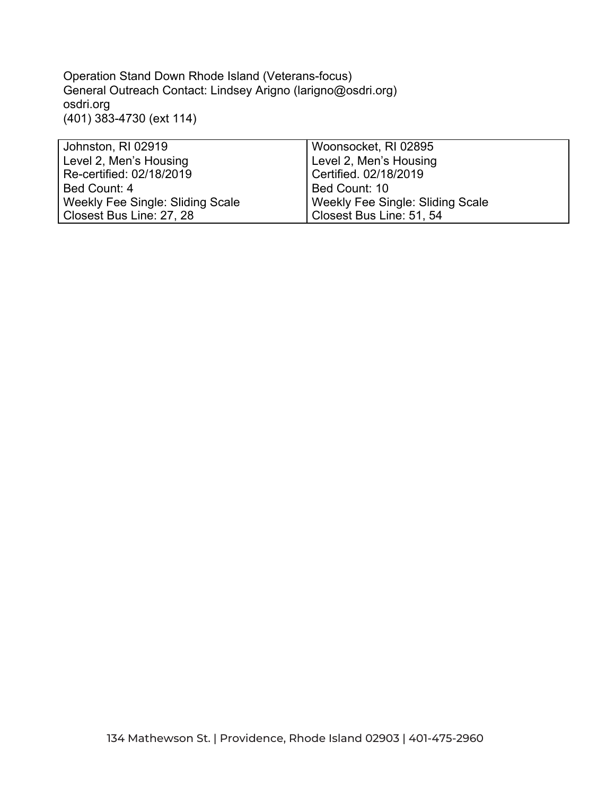Operation Stand Down Rhode Island (Veterans-focus) General Outreach Contact: Lindsey Arigno (larigno@osdri.org) osdri.org (401) 383-4730 (ext 114)

| Johnston, RI 02919               | Woonsocket, RI 02895             |
|----------------------------------|----------------------------------|
| Level 2, Men's Housing           | Level 2, Men's Housing           |
| Re-certified: 02/18/2019         | Certified. 02/18/2019            |
| Bed Count: 4                     | Bed Count: 10                    |
| Weekly Fee Single: Sliding Scale | Weekly Fee Single: Sliding Scale |
| Closest Bus Line: 27, 28         | Closest Bus Line: 51, 54         |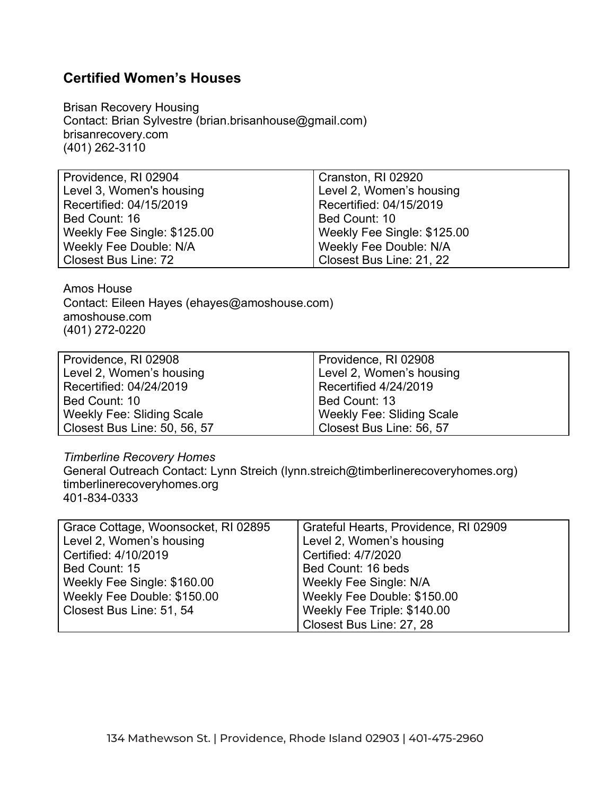## **Certified Women's Houses**

Brisan Recovery Housing Contact: Brian Sylvestre (brian.brisanhouse@gmail.com) brisanrecovery.com (401) 262-3110

| Cranston, RI 02920            |
|-------------------------------|
| Level 2, Women's housing      |
| Recertified: 04/15/2019       |
| Bed Count: 10                 |
| Weekly Fee Single: \$125.00   |
| <b>Weekly Fee Double: N/A</b> |
| Closest Bus Line: 21, 22      |
|                               |

Amos House Contact: Eileen Hayes (ehayes@amoshouse.com) amoshouse.com (401) 272-0220

| Providence, RI 02908             | Providence, RI 02908             |
|----------------------------------|----------------------------------|
| Level 2, Women's housing         | Level 2, Women's housing         |
| Recertified: 04/24/2019          | Recertified 4/24/2019            |
| Bed Count: 10                    | Bed Count: 13                    |
| <b>Weekly Fee: Sliding Scale</b> | <b>Weekly Fee: Sliding Scale</b> |
| Closest Bus Line: 50, 56, 57     | Closest Bus Line: 56, 57         |

## *Timberline Recovery Homes*

General Outreach Contact: Lynn Streich (lynn.streich@timberlinerecoveryhomes.org) timberlinerecoveryhomes.org 401-834-0333

| Grace Cottage, Woonsocket, RI 02895 | Grateful Hearts, Providence, RI 02909 |
|-------------------------------------|---------------------------------------|
| Level 2, Women's housing            | Level 2, Women's housing              |
| Certified: 4/10/2019                | Certified: 4/7/2020                   |
| Bed Count: 15                       | Bed Count: 16 beds                    |
| Weekly Fee Single: \$160.00         | Weekly Fee Single: N/A                |
| Weekly Fee Double: \$150.00         | Weekly Fee Double: \$150.00           |
| Closest Bus Line: 51, 54            | Weekly Fee Triple: \$140.00           |
|                                     | Closest Bus Line: 27, 28              |